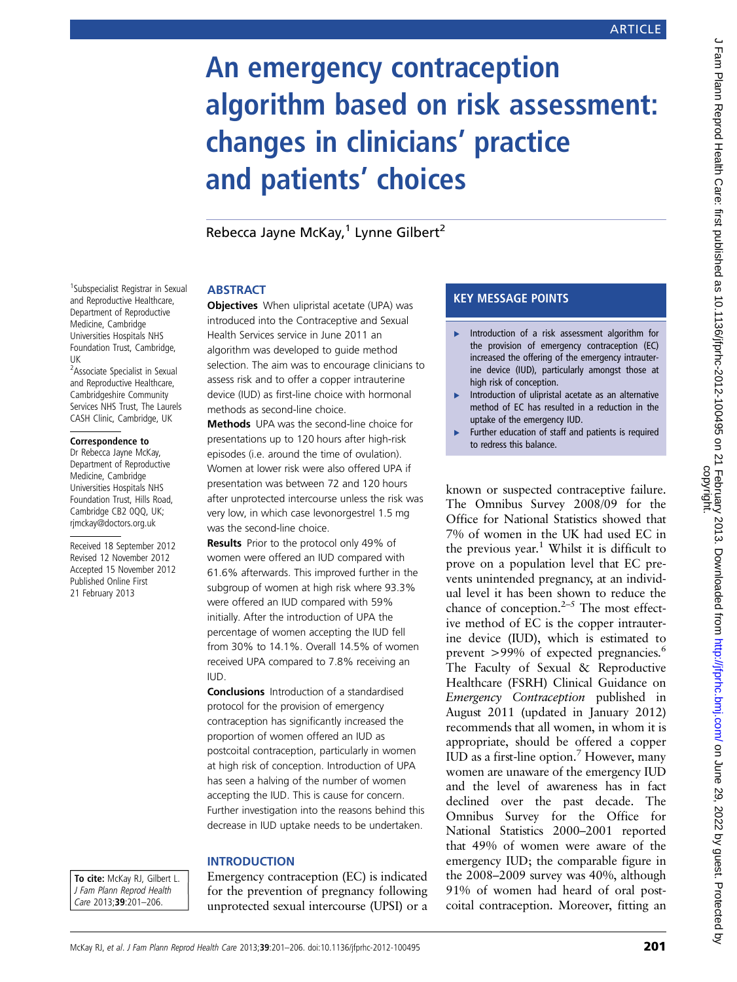# An emergency contraception algorithm based on risk assessment: changes in clinicians' practice and patients' choices

Rebecca Jayne McKay, $1$  Lynne Gilbert<sup>2</sup>

### <sup>1</sup>Subspecialist Registrar in Sexual and Reproductive Healthcare, Department of Reproductive Medicine, Cambridge Universities Hospitals NHS Foundation Trust, Cambridge, UK

<sup>2</sup> Associate Specialist in Sexual and Reproductive Healthcare, Cambridgeshire Community Services NHS Trust, The Laurels CASH Clinic, Cambridge, UK

### Correspondence to

Dr Rebecca Jayne McKay, Department of Reproductive Medicine, Cambridge Universities Hospitals NHS Foundation Trust, Hills Road, Cambridge CB2 0QQ, UK; rjmckay@doctors.org.uk

Received 18 September 2012 Revised 12 November 2012 Accepted 15 November 2012 Published Online First 21 February 2013

# **ABSTRACT**

**Objectives** When ulipristal acetate (UPA) was introduced into the Contraceptive and Sexual Health Services service in June 2011 an algorithm was developed to guide method selection. The aim was to encourage clinicians to assess risk and to offer a copper intrauterine device (IUD) as first-line choice with hormonal methods as second-line choice.

Methods UPA was the second-line choice for presentations up to 120 hours after high-risk episodes (i.e. around the time of ovulation). Women at lower risk were also offered UPA if presentation was between 72 and 120 hours after unprotected intercourse unless the risk was very low, in which case levonorgestrel 1.5 mg was the second-line choice.

Results Prior to the protocol only 49% of women were offered an IUD compared with 61.6% afterwards. This improved further in the subgroup of women at high risk where 93.3% were offered an IUD compared with 59% initially. After the introduction of UPA the percentage of women accepting the IUD fell from 30% to 14.1%. Overall 14.5% of women received UPA compared to 7.8% receiving an IUD.

Conclusions Introduction of a standardised protocol for the provision of emergency contraception has significantly increased the proportion of women offered an IUD as postcoital contraception, particularly in women at high risk of conception. Introduction of UPA has seen a halving of the number of women accepting the IUD. This is cause for concern. Further investigation into the reasons behind this decrease in IUD uptake needs to be undertaken.

### **INTRODUCTION**

To cite: McKay RJ, Gilbert L. J Fam Plann Reprod Health Care 2013;39:201–206.

Emergency contraception (EC) is indicated for the prevention of pregnancy following unprotected sexual intercourse (UPSI) or a

### KEY MESSAGE POINTS

- ▸ Introduction of a risk assessment algorithm for the provision of emergency contraception (EC) increased the offering of the emergency intrauterine device (IUD), particularly amongst those at high risk of conception.
- ▸ Introduction of ulipristal acetate as an alternative method of EC has resulted in a reduction in the uptake of the emergency IUD.
- Further education of staff and patients is required to redress this balance.

known or suspected contraceptive failure. The Omnibus Survey 2008/09 for the Office for National Statistics showed that 7% of women in the UK had used EC in the previous year.<sup>1</sup> Whilst it is difficult to prove on a population level that EC prevents unintended pregnancy, at an individual level it has been shown to reduce the chance of conception. $2-5$  The most effective method of EC is the copper intrauterine device (IUD), which is estimated to prevent >99% of expected pregnancies.<sup>6</sup> The Faculty of Sexual & Reproductive Healthcare (FSRH) Clinical Guidance on Emergency Contraception published in August 2011 (updated in January 2012) recommends that all women, in whom it is appropriate, should be offered a copper IUD as a first-line option.<sup>7</sup> However, many women are unaware of the emergency IUD and the level of awareness has in fact declined over the past decade. The Omnibus Survey for the Office for National Statistics 2000–2001 reported that 49% of women were aware of the emergency IUD; the comparable figure in the 2008–2009 survey was 40%, although 91% of women had heard of oral postcoital contraception. Moreover, fitting an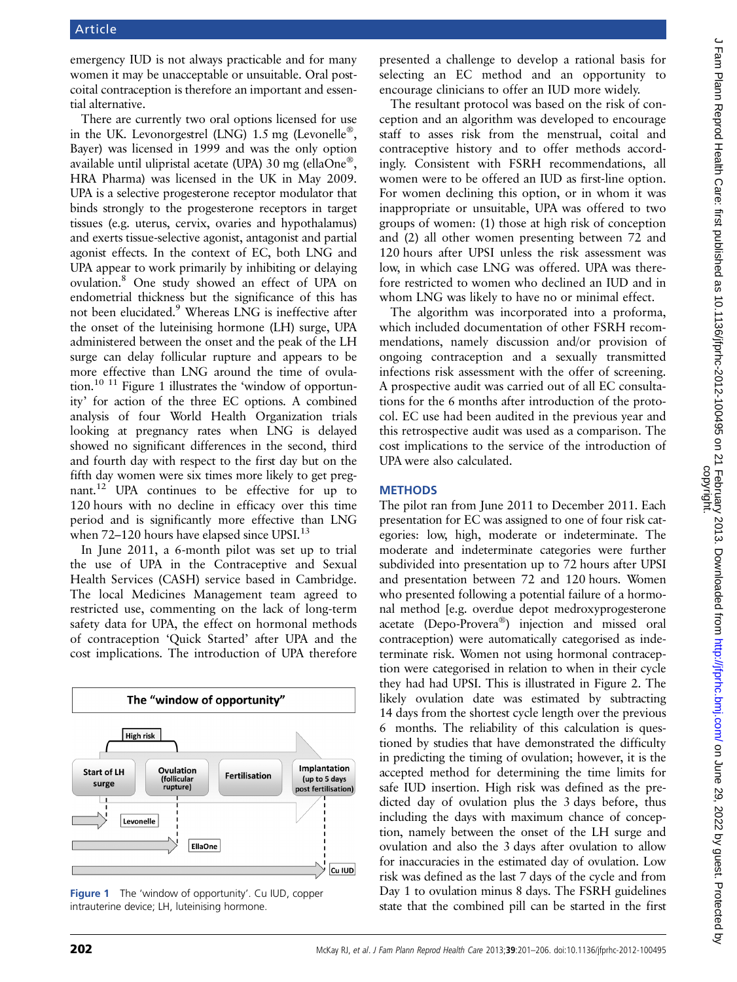emergency IUD is not always practicable and for many women it may be unacceptable or unsuitable. Oral postcoital contraception is therefore an important and essential alternative.

There are currently two oral options licensed for use in the UK. Levonorgestrel (LNG) 1.5 mg (Levonelle<sup>®</sup>, Bayer) was licensed in 1999 and was the only option available until ulipristal acetate (UPA) 30 mg (ellaOne®, HRA Pharma) was licensed in the UK in May 2009. UPA is a selective progesterone receptor modulator that binds strongly to the progesterone receptors in target tissues (e.g. uterus, cervix, ovaries and hypothalamus) and exerts tissue-selective agonist, antagonist and partial agonist effects. In the context of EC, both LNG and UPA appear to work primarily by inhibiting or delaying ovulation.8 One study showed an effect of UPA on endometrial thickness but the significance of this has not been elucidated.9 Whereas LNG is ineffective after the onset of the luteinising hormone (LH) surge, UPA administered between the onset and the peak of the LH surge can delay follicular rupture and appears to be more effective than LNG around the time of ovulation.10 11 Figure 1 illustrates the 'window of opportunity' for action of the three EC options. A combined analysis of four World Health Organization trials looking at pregnancy rates when LNG is delayed showed no significant differences in the second, third and fourth day with respect to the first day but on the fifth day women were six times more likely to get pregnant.12 UPA continues to be effective for up to 120 hours with no decline in efficacy over this time period and is significantly more effective than LNG when 72–120 hours have elapsed since UPSI.<sup>13</sup>

In June 2011, a 6-month pilot was set up to trial the use of UPA in the Contraceptive and Sexual Health Services (CASH) service based in Cambridge. The local Medicines Management team agreed to restricted use, commenting on the lack of long-term safety data for UPA, the effect on hormonal methods of contraception 'Quick Started' after UPA and the cost implications. The introduction of UPA therefore



Figure 1 The 'window of opportunity'. Cu IUD, copper intrauterine device; LH, luteinising hormone.

presented a challenge to develop a rational basis for selecting an EC method and an opportunity to encourage clinicians to offer an IUD more widely.

The resultant protocol was based on the risk of conception and an algorithm was developed to encourage staff to asses risk from the menstrual, coital and contraceptive history and to offer methods accordingly. Consistent with FSRH recommendations, all women were to be offered an IUD as first-line option. For women declining this option, or in whom it was inappropriate or unsuitable, UPA was offered to two groups of women: (1) those at high risk of conception and (2) all other women presenting between 72 and 120 hours after UPSI unless the risk assessment was low, in which case LNG was offered. UPA was therefore restricted to women who declined an IUD and in whom LNG was likely to have no or minimal effect.

The algorithm was incorporated into a proforma, which included documentation of other FSRH recommendations, namely discussion and/or provision of ongoing contraception and a sexually transmitted infections risk assessment with the offer of screening. A prospective audit was carried out of all EC consultations for the 6 months after introduction of the protocol. EC use had been audited in the previous year and this retrospective audit was used as a comparison. The cost implications to the service of the introduction of UPA were also calculated.

### **METHODS**

The pilot ran from June 2011 to December 2011. Each presentation for EC was assigned to one of four risk categories: low, high, moderate or indeterminate. The moderate and indeterminate categories were further subdivided into presentation up to 72 hours after UPSI and presentation between 72 and 120 hours. Women who presented following a potential failure of a hormonal method [e.g. overdue depot medroxyprogesterone acetate (Depo-Provera®) injection and missed oral contraception) were automatically categorised as indeterminate risk. Women not using hormonal contraception were categorised in relation to when in their cycle they had had UPSI. This is illustrated in Figure 2. The likely ovulation date was estimated by subtracting 14 days from the shortest cycle length over the previous 6 months. The reliability of this calculation is questioned by studies that have demonstrated the difficulty in predicting the timing of ovulation; however, it is the accepted method for determining the time limits for safe IUD insertion. High risk was defined as the predicted day of ovulation plus the 3 days before, thus including the days with maximum chance of conception, namely between the onset of the LH surge and ovulation and also the 3 days after ovulation to allow for inaccuracies in the estimated day of ovulation. Low risk was defined as the last 7 days of the cycle and from Day 1 to ovulation minus 8 days. The FSRH guidelines state that the combined pill can be started in the first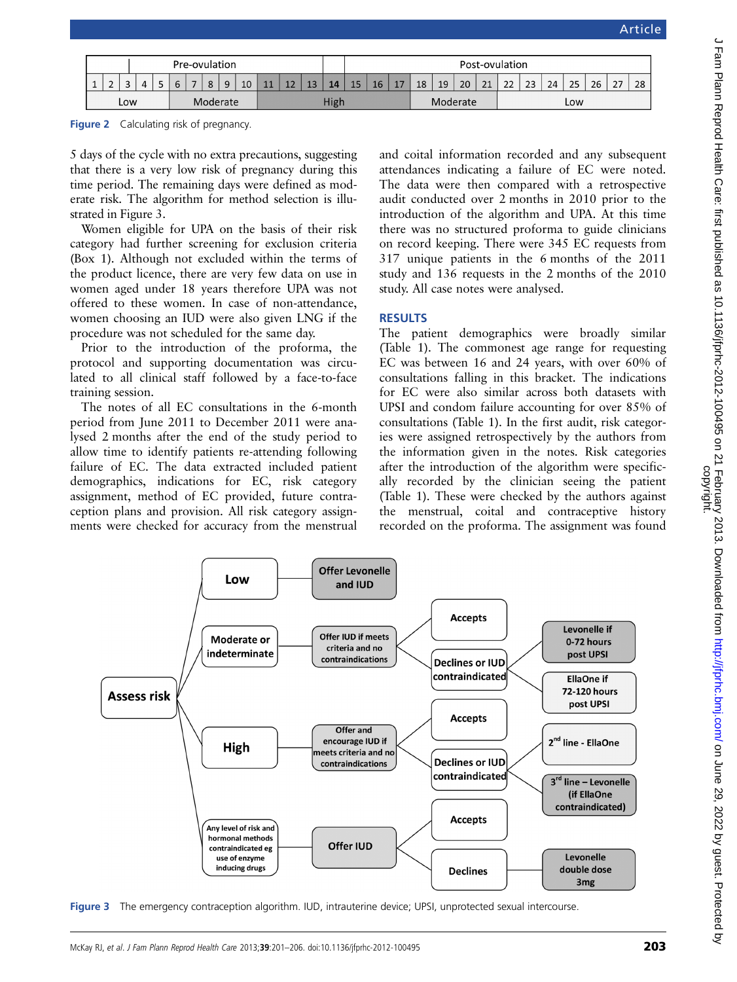|        |  |        | Pre-ovulation |  |  |  |  |   |      |        |                     | Post-ovulation |  |          |    |    |    |     |    |    |                                |    |    |    |    |               |    |
|--------|--|--------|---------------|--|--|--|--|---|------|--------|---------------------|----------------|--|----------|----|----|----|-----|----|----|--------------------------------|----|----|----|----|---------------|----|
| $\sim$ |  | $\sim$ | 4             |  |  |  |  | 9 | 10   | $\sim$ | 1 <sub>2</sub><br>ᅩ | 12<br>13       |  | 15       | 16 | -- | 18 | 19  | 20 | 21 | $\mathbf{\Omega}$<br><u>__</u> | 23 | 24 | 25 | 26 | $\mathcal{L}$ | 28 |
| Low    |  |        | Moderate      |  |  |  |  |   | High |        |                     |                |  | Moderate |    |    |    | Low |    |    |                                |    |    |    |    |               |    |

Figure 2 Calculating risk of pregnancy.

5 days of the cycle with no extra precautions, suggesting that there is a very low risk of pregnancy during this time period. The remaining days were defined as moderate risk. The algorithm for method selection is illustrated in Figure 3.

Women eligible for UPA on the basis of their risk category had further screening for exclusion criteria (Box 1). Although not excluded within the terms of the product licence, there are very few data on use in women aged under 18 years therefore UPA was not offered to these women. In case of non-attendance, women choosing an IUD were also given LNG if the procedure was not scheduled for the same day.

Prior to the introduction of the proforma, the protocol and supporting documentation was circulated to all clinical staff followed by a face-to-face training session.

The notes of all EC consultations in the 6-month period from June 2011 to December 2011 were analysed 2 months after the end of the study period to allow time to identify patients re-attending following failure of EC. The data extracted included patient demographics, indications for EC, risk category assignment, method of EC provided, future contraception plans and provision. All risk category assignments were checked for accuracy from the menstrual

Low

**Moderate or** 

indeterminate

and coital information recorded and any subsequent attendances indicating a failure of EC were noted. The data were then compared with a retrospective audit conducted over 2 months in 2010 prior to the introduction of the algorithm and UPA. At this time there was no structured proforma to guide clinicians on record keeping. There were 345 EC requests from 317 unique patients in the 6 months of the 2011 study and 136 requests in the 2 months of the 2010 study. All case notes were analysed.

### **RESULTS**

The patient demographics were broadly similar (Table 1). The commonest age range for requesting EC was between 16 and 24 years, with over 60% of consultations falling in this bracket. The indications for EC were also similar across both datasets with UPSI and condom failure accounting for over 85% of consultations (Table 1). In the first audit, risk categories were assigned retrospectively by the authors from the information given in the notes. Risk categories after the introduction of the algorithm were specifically recorded by the clinician seeing the patient (Table 1). These were checked by the authors against the menstrual, coital and contraceptive history recorded on the proforma. The assignment was found

Levonelle if

0-72 hours

post UPSI

**Accepts** 



**Offer Levonelle** 

and IUD

Offer IUD if meets

criteria and no

contraindications

Figure 3 The emergency contraception algorithm. IUD, intrauterine device; UPSI, unprotected sexual intercourse.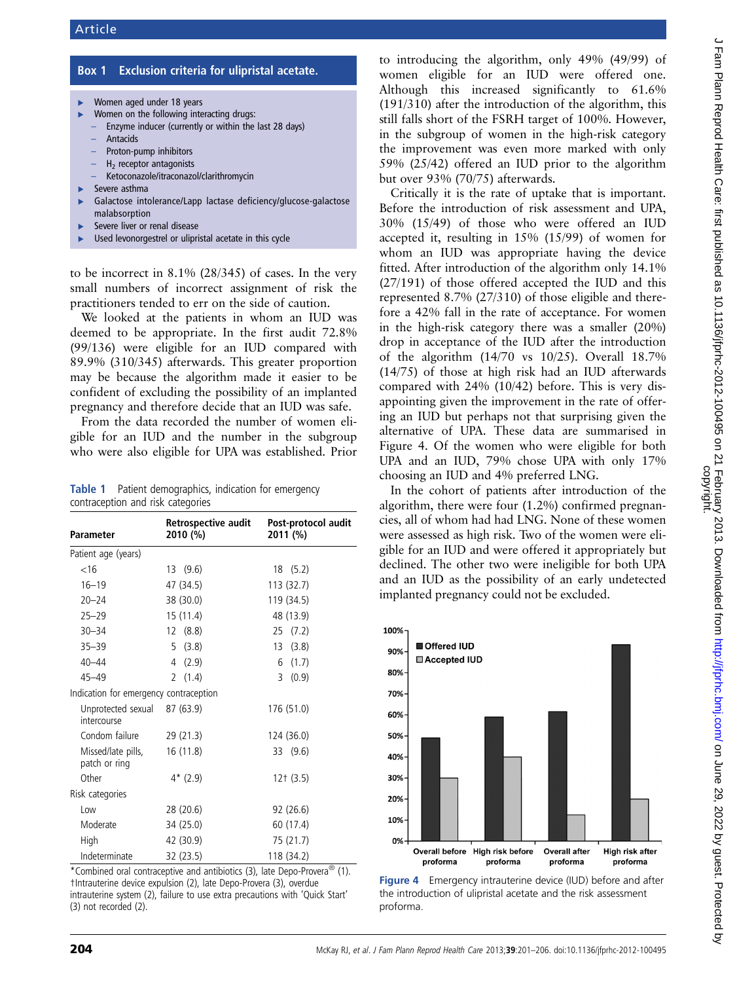# Box 1 Exclusion criteria for ulipristal acetate.

- Women aged under 18 years
- Women on the following interacting drugs:
- Enzyme inducer (currently or within the last 28 days)
- **Antacids**
- Proton-pump inhibitors
- H2 receptor antagonists
- Ketoconazole/itraconazol/clarithromycin
- Severe asthma
- Galactose intolerance/Lapp lactase deficiency/glucose-galactose malabsorption
- Severe liver or renal disease
- Used levonorgestrel or ulipristal acetate in this cycle

to be incorrect in 8.1% (28/345) of cases. In the very small numbers of incorrect assignment of risk the practitioners tended to err on the side of caution.

We looked at the patients in whom an IUD was deemed to be appropriate. In the first audit 72.8% (99/136) were eligible for an IUD compared with 89.9% (310/345) afterwards. This greater proportion may be because the algorithm made it easier to be confident of excluding the possibility of an implanted pregnancy and therefore decide that an IUD was safe.

From the data recorded the number of women eligible for an IUD and the number in the subgroup who were also eligible for UPA was established. Prior

Table 1 Patient demographics, indication for emergency contraception and risk categories

| <b>Parameter</b>                       | Retrospective audit<br>2010 (%) | Post-protocol audit<br>2011 (%) |
|----------------------------------------|---------------------------------|---------------------------------|
| Patient age (years)                    |                                 |                                 |
| < 16                                   | (9.6)<br>13                     | (5.2)<br>18                     |
| $16 - 19$                              | 47 (34.5)                       | 113 (32.7)                      |
| $20 - 24$                              | 38 (30.0)                       | 119 (34.5)                      |
| $25 - 29$                              | 15 (11.4)                       | 48 (13.9)                       |
| $30 - 34$                              | 12 (8.8)                        | (7.2)<br>25                     |
| $35 - 39$                              | (3.8)<br>5                      | 13<br>(3.8)                     |
| $40 - 44$                              | (2.9)<br>4                      | (1.7)<br>6                      |
| $45 - 49$                              | (1.4)<br>2                      | (0.9)<br>3                      |
| Indication for emergency contraception |                                 |                                 |
| Unprotected sexual<br>intercourse      | 87 (63.9)                       | 176 (51.0)                      |
| Condom failure                         | 29 (21.3)                       | 124 (36.0)                      |
| Missed/late pills,<br>patch or ring    | 16 (11.8)                       | (9.6)<br>33                     |
| Other                                  | $4*(2.9)$                       | $12+$ (3.5)                     |
| Risk categories                        |                                 |                                 |
| Low                                    | 28 (20.6)                       | 92 (26.6)                       |
| Moderate                               | 34 (25.0)                       | 60 (17.4)                       |
| High                                   | 42 (30.9)                       | 75 (21.7)                       |
| Indeterminate                          | 32 (23.5)                       | 118 (34.2)                      |

\*Combined oral contraceptive and antibiotics (3), late Depo-Provera® (1). †Intrauterine device expulsion (2), late Depo-Provera (3), overdue intrauterine system (2), failure to use extra precautions with 'Quick Start' (3) not recorded (2).

to introducing the algorithm, only 49% (49/99) of women eligible for an IUD were offered one. Although this increased significantly to 61.6% (191/310) after the introduction of the algorithm, this still falls short of the FSRH target of 100%. However, in the subgroup of women in the high-risk category the improvement was even more marked with only 59% (25/42) offered an IUD prior to the algorithm but over 93% (70/75) afterwards.

Critically it is the rate of uptake that is important. Before the introduction of risk assessment and UPA, 30% (15/49) of those who were offered an IUD accepted it, resulting in 15% (15/99) of women for whom an IUD was appropriate having the device fitted. After introduction of the algorithm only 14.1% (27/191) of those offered accepted the IUD and this represented 8.7% (27/310) of those eligible and therefore a 42% fall in the rate of acceptance. For women in the high-risk category there was a smaller (20%) drop in acceptance of the IUD after the introduction of the algorithm (14/70 vs 10/25). Overall 18.7% (14/75) of those at high risk had an IUD afterwards compared with 24% (10/42) before. This is very disappointing given the improvement in the rate of offering an IUD but perhaps not that surprising given the alternative of UPA. These data are summarised in Figure 4. Of the women who were eligible for both UPA and an IUD, 79% chose UPA with only 17% choosing an IUD and 4% preferred LNG.

In the cohort of patients after introduction of the algorithm, there were four (1.2%) confirmed pregnancies, all of whom had had LNG. None of these women were assessed as high risk. Two of the women were eligible for an IUD and were offered it appropriately but declined. The other two were ineligible for both UPA and an IUD as the possibility of an early undetected implanted pregnancy could not be excluded.



**Figure 4** Emergency intrauterine device (IUD) before and after the introduction of ulipristal acetate and the risk assessment proforma.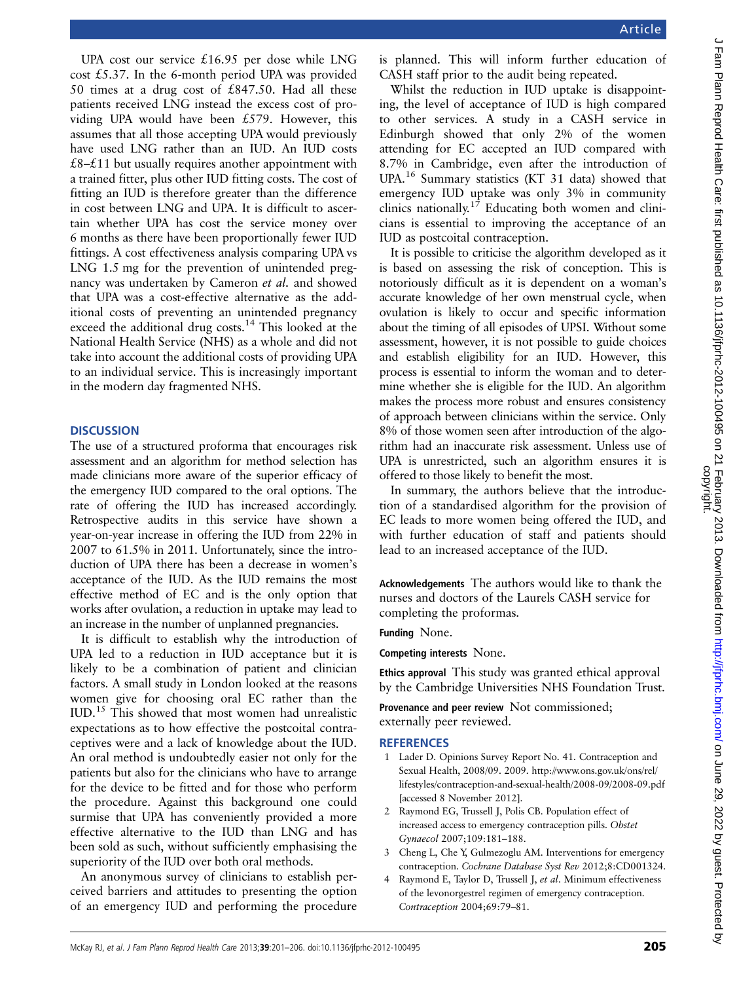UPA cost our service £16.95 per dose while LNG cost £5.37. In the 6-month period UPA was provided 50 times at a drug cost of £847.50. Had all these patients received LNG instead the excess cost of providing UPA would have been £579. However, this assumes that all those accepting UPA would previously have used LNG rather than an IUD. An IUD costs £8– $£11$  but usually requires another appointment with a trained fitter, plus other IUD fitting costs. The cost of fitting an IUD is therefore greater than the difference in cost between LNG and UPA. It is difficult to ascertain whether UPA has cost the service money over 6 months as there have been proportionally fewer IUD fittings. A cost effectiveness analysis comparing UPA vs LNG 1.5 mg for the prevention of unintended pregnancy was undertaken by Cameron et al. and showed that UPA was a cost-effective alternative as the additional costs of preventing an unintended pregnancy exceed the additional drug costs.<sup>14</sup> This looked at the National Health Service (NHS) as a whole and did not take into account the additional costs of providing UPA to an individual service. This is increasingly important in the modern day fragmented NHS.

### **DISCUSSION**

The use of a structured proforma that encourages risk assessment and an algorithm for method selection has made clinicians more aware of the superior efficacy of the emergency IUD compared to the oral options. The rate of offering the IUD has increased accordingly. Retrospective audits in this service have shown a year-on-year increase in offering the IUD from 22% in 2007 to 61.5% in 2011. Unfortunately, since the introduction of UPA there has been a decrease in women's acceptance of the IUD. As the IUD remains the most effective method of EC and is the only option that works after ovulation, a reduction in uptake may lead to an increase in the number of unplanned pregnancies.

It is difficult to establish why the introduction of UPA led to a reduction in IUD acceptance but it is likely to be a combination of patient and clinician factors. A small study in London looked at the reasons women give for choosing oral EC rather than the IUD.<sup>15</sup> This showed that most women had unrealistic expectations as to how effective the postcoital contraceptives were and a lack of knowledge about the IUD. An oral method is undoubtedly easier not only for the patients but also for the clinicians who have to arrange for the device to be fitted and for those who perform the procedure. Against this background one could surmise that UPA has conveniently provided a more effective alternative to the IUD than LNG and has been sold as such, without sufficiently emphasising the superiority of the IUD over both oral methods.

An anonymous survey of clinicians to establish perceived barriers and attitudes to presenting the option of an emergency IUD and performing the procedure is planned. This will inform further education of CASH staff prior to the audit being repeated.

Whilst the reduction in IUD uptake is disappointing, the level of acceptance of IUD is high compared to other services. A study in a CASH service in Edinburgh showed that only 2% of the women attending for EC accepted an IUD compared with 8.7% in Cambridge, even after the introduction of UPA.<sup>16</sup> Summary statistics (KT 31 data) showed that emergency IUD uptake was only 3% in community clinics nationally.<sup>17</sup> Educating both women and clinicians is essential to improving the acceptance of an IUD as postcoital contraception.

It is possible to criticise the algorithm developed as it is based on assessing the risk of conception. This is notoriously difficult as it is dependent on a woman's accurate knowledge of her own menstrual cycle, when ovulation is likely to occur and specific information about the timing of all episodes of UPSI. Without some assessment, however, it is not possible to guide choices and establish eligibility for an IUD. However, this process is essential to inform the woman and to determine whether she is eligible for the IUD. An algorithm makes the process more robust and ensures consistency of approach between clinicians within the service. Only 8% of those women seen after introduction of the algorithm had an inaccurate risk assessment. Unless use of UPA is unrestricted, such an algorithm ensures it is offered to those likely to benefit the most.

In summary, the authors believe that the introduction of a standardised algorithm for the provision of EC leads to more women being offered the IUD, and with further education of staff and patients should lead to an increased acceptance of the IUD.

Acknowledgements The authors would like to thank the nurses and doctors of the Laurels CASH service for completing the proformas.

### Funding None.

Competing interests None.

Ethics approval This study was granted ethical approval by the Cambridge Universities NHS Foundation Trust.

Provenance and peer review Not commissioned; externally peer reviewed.

### **REFERENCES**

- 1 Lader D. Opinions Survey Report No. 41. Contraception and Sexual Health, 2008/09. 2009. http://www.ons.gov.uk/ons/rel/ lifestyles/contraception-and-sexual-health/2008-09/2008-09.pdf [accessed 8 November 2012].
- 2 Raymond EG, Trussell J, Polis CB. Population effect of increased access to emergency contraception pills. Obstet Gynaecol 2007;109:181–188.
- 3 Cheng L, Che Y, Gulmezoglu AM. Interventions for emergency contraception. Cochrane Database Syst Rev 2012;8:CD001324.
- 4 Raymond E, Taylor D, Trussell J, et al. Minimum effectiveness of the levonorgestrel regimen of emergency contraception. Contraception 2004;69:79–81.